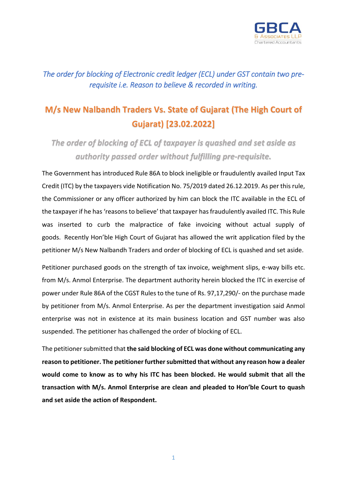

*The order for blocking of Electronic credit ledger (ECL) under GST contain two prerequisite i.e. Reason to believe & recorded in writing.* 

## **M/s New Nalbandh Traders Vs. State of Gujarat (The High Court of Gujarat) [23.02.2022]**

*The order of blocking of ECL of taxpayer is quashed and set aside as authority passed order without fulfilling pre-requisite.*

The Government has introduced Rule 86A to block ineligible or fraudulently availed Input Tax Credit (ITC) by the taxpayers vide Notification No. 75/2019 dated 26.12.2019. As per this rule, the Commissioner or any officer authorized by him can block the ITC available in the ECL of the taxpayer if he has 'reasons to believe' that taxpayer has fraudulently availed ITC. This Rule was inserted to curb the malpractice of fake invoicing without actual supply of goods. Recently Hon'ble High Court of Gujarat has allowed the writ application filed by the petitioner M/s New Nalbandh Traders and order of blocking of ECL is quashed and set aside.

Petitioner purchased goods on the strength of tax invoice, weighment slips, e-way bills etc. from M/s. Anmol Enterprise. The department authority herein blocked the ITC in exercise of power under Rule 86A of the CGST Rules to the tune of Rs. 97,17,290/- on the purchase made by petitioner from M/s. Anmol Enterprise. As per the department investigation said Anmol enterprise was not in existence at its main business location and GST number was also suspended. The petitioner has challenged the order of blocking of ECL.

The petitioner submitted that **the said blocking of ECL was done without communicating any reason to petitioner. The petitioner further submitted that without any reason how a dealer would come to know as to why his ITC has been blocked. He would submit that all the transaction with M/s. Anmol Enterprise are clean and pleaded to Hon'ble Court to quash and set aside the action of Respondent.**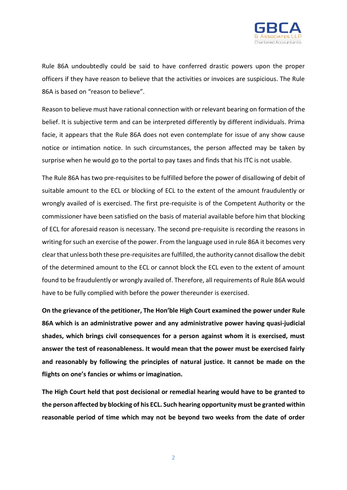

Rule 86A undoubtedly could be said to have conferred drastic powers upon the proper officers if they have reason to believe that the activities or invoices are suspicious. The Rule 86A is based on "reason to believe".

Reason to believe must have rational connection with or relevant bearing on formation of the belief. It is subjective term and can be interpreted differently by different individuals. Prima facie, it appears that the Rule 86A does not even contemplate for issue of any show cause notice or intimation notice. In such circumstances, the person affected may be taken by surprise when he would go to the portal to pay taxes and finds that his ITC is not usable.

The Rule 86A has two pre-requisites to be fulfilled before the power of disallowing of debit of suitable amount to the ECL or blocking of ECL to the extent of the amount fraudulently or wrongly availed of is exercised. The first pre-requisite is of the Competent Authority or the commissioner have been satisfied on the basis of material available before him that blocking of ECL for aforesaid reason is necessary. The second pre-requisite is recording the reasons in writing for such an exercise of the power. From the language used in rule 86A it becomes very clear that unless both these pre-requisites are fulfilled, the authority cannot disallow the debit of the determined amount to the ECL or cannot block the ECL even to the extent of amount found to be fraudulently or wrongly availed of. Therefore, all requirements of Rule 86A would have to be fully complied with before the power thereunder is exercised.

**On the grievance of the petitioner, The Hon'ble High Court examined the power under Rule 86A which is an administrative power and any administrative power having quasi-judicial shades, which brings civil consequences for a person against whom it is exercised, must answer the test of reasonableness. It would mean that the power must be exercised fairly and reasonably by following the principles of natural justice. It cannot be made on the flights on one's fancies or whims or imagination.**

**The High Court held that post decisional or remedial hearing would have to be granted to the person affected by blocking of his ECL. Such hearing opportunity must be granted within reasonable period of time which may not be beyond two weeks from the date of order** 

2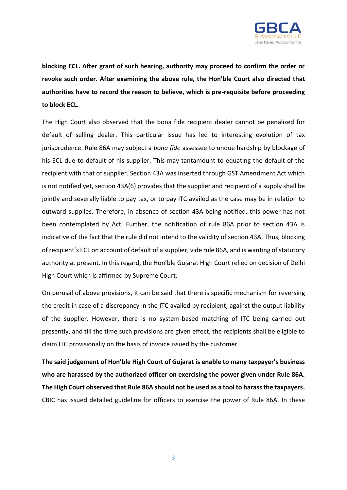

**blocking ECL. After grant of such hearing, authority may proceed to confirm the order or revoke such order. After examining the above rule, the Hon'ble Court also directed that authorities have to record the reason to believe, which is pre-requisite before proceeding to block ECL.**

The High Court also observed that the bona fide recipient dealer cannot be penalized for default of selling dealer. This particular issue has led to interesting evolution of tax jurisprudence. Rule 86A may subject a *bona fide* assessee to undue hardship by blockage of his ECL due to default of his supplier. This may tantamount to equating the default of the recipient with that of supplier. Section 43A was inserted through GST Amendment Act which is not notified yet, section 43A(6) provides that the supplier and recipient of a supply shall be jointly and severally liable to pay tax, or to pay ITC availed as the case may be in relation to outward supplies. Therefore, in absence of section 43A being notified, this power has not been contemplated by Act. Further, the notification of rule 86A prior to section 43A is indicative of the fact that the rule did not intend to the validity of section 43A. Thus, blocking of recipient's ECL on account of default of a supplier, vide rule 86A, and is wanting of statutory authority at present. In this regard, the Hon'ble Gujarat High Court relied on decision of Delhi High Court which is affirmed by Supreme Court.

On perusal of above provisions, it can be said that there is specific mechanism for reversing the credit in case of a discrepancy in the ITC availed by recipient, against the output liability of the supplier. However, there is no system-based matching of ITC being carried out presently, and till the time such provisions are given effect, the recipients shall be eligible to claim ITC provisionally on the basis of invoice issued by the customer.

**The said judgement of Hon'ble High Court of Gujarat is enable to many taxpayer's business who are harassed by the authorized officer on exercising the power given under Rule 86A. The High Court observed that Rule 86A should not be used as a tool to harass the taxpayers.** CBIC has issued detailed guideline for officers to exercise the power of Rule 86A. In these